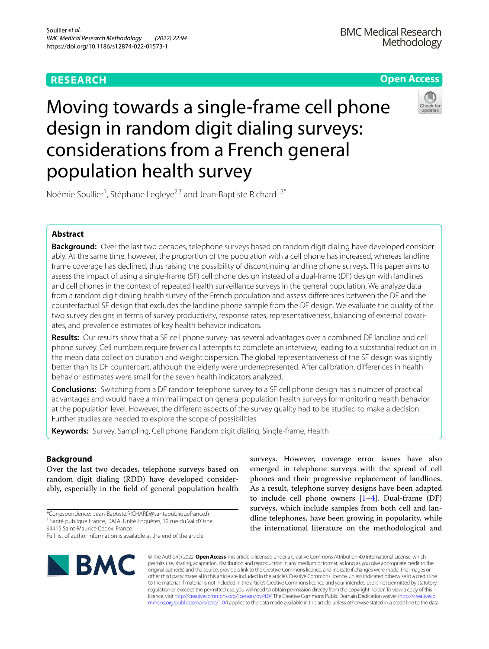## **RESEARCH**



# Moving towards a single-frame cell phone design in random digit dialing surveys: considerations from a French general population health survey



Noémie Soullier<sup>1</sup>, Stéphane Legleye<sup>2,3</sup> and Jean-Baptiste Richard<sup>1,3\*</sup>

## **Abstract**

**Background:** Over the last two decades, telephone surveys based on random digit dialing have developed considerably. At the same time, however, the proportion of the population with a cell phone has increased, whereas landline frame coverage has declined, thus raising the possibility of discontinuing landline phone surveys. This paper aims to assess the impact of using a single-frame (SF) cell phone design instead of a dual-frame (DF) design with landlines and cell phones in the context of repeated health surveillance surveys in the general population. We analyze data from a random digit dialing health survey of the French population and assess diferences between the DF and the counterfactual SF design that excludes the landline phone sample from the DF design. We evaluate the quality of the two survey designs in terms of survey productivity, response rates, representativeness, balancing of external covari‑ ates, and prevalence estimates of key health behavior indicators.

**Results:** Our results show that a SF cell phone survey has several advantages over a combined DF landline and cell phone survey. Cell numbers require fewer call attempts to complete an interview, leading to a substantial reduction in the mean data collection duration and weight dispersion. The global representativeness of the SF design was slightly better than its DF counterpart, although the elderly were underrepresented. After calibration, diferences in health behavior estimates were small for the seven health indicators analyzed.

**Conclusions:** Switching from a DF random telephone survey to a SF cell phone design has a number of practical advantages and would have a minimal impact on general population health surveys for monitoring health behavior at the population level. However, the diferent aspects of the survey quality had to be studied to make a decision. Further studies are needed to explore the scope of possibilities.

**Keywords:** Survey, Sampling, Cell phone, Random digit dialing, Single-frame, Health

## **Background**

Over the last two decades, telephone surveys based on random digit dialing (RDD) have developed considerably, especially in the feld of general population health

94415 Saint‑Maurice Cedex, France

Full list of author information is available at the end of the article



surveys. However, coverage error issues have also emerged in telephone surveys with the spread of cell phones and their progressive replacement of landlines. As a result, telephone survey designs have been adapted to include cell phone owners [\[1–](#page-9-0)[4\]](#page-9-1). Dual-frame (DF) surveys, which include samples from both cell and landline telephones, have been growing in popularity, while the international literature on the methodological and

© The Author(s) 2022. **Open Access** This article is licensed under a Creative Commons Attribution 4.0 International License, which permits use, sharing, adaptation, distribution and reproduction in any medium or format, as long as you give appropriate credit to the original author(s) and the source, provide a link to the Creative Commons licence, and indicate if changes were made. The images or other third party material in this article are included in the article's Creative Commons licence, unless indicated otherwise in a credit line to the material. If material is not included in the article's Creative Commons licence and your intended use is not permitted by statutory regulation or exceeds the permitted use, you will need to obtain permission directly from the copyright holder. To view a copy of this licence, visit [http://creativecommons.org/licenses/by/4.0/.](http://creativecommons.org/licenses/by/4.0/) The Creative Commons Public Domain Dedication waiver ([http://creativeco](http://creativecommons.org/publicdomain/zero/1.0/) [mmons.org/publicdomain/zero/1.0/](http://creativecommons.org/publicdomain/zero/1.0/)) applies to the data made available in this article, unless otherwise stated in a credit line to the data.

<sup>\*</sup>Correspondence: Jean-Baptiste.RICHARD@santepubliquefrance.fr <sup>1</sup> Santé publique France, DATA, Unité Enquêtes, 12 rue du Val d'Osne,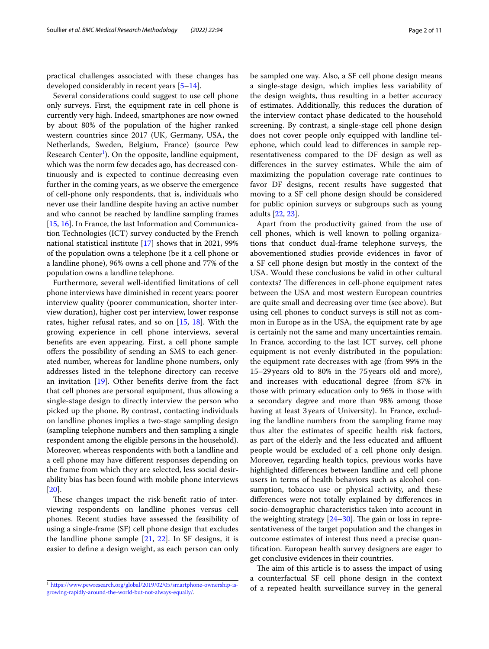practical challenges associated with these changes has developed considerably in recent years [[5](#page-9-2)[–14](#page-10-0)].

Several considerations could suggest to use cell phone only surveys. First, the equipment rate in cell phone is currently very high. Indeed, smartphones are now owned by about 80% of the population of the higher ranked western countries since 2017 (UK, Germany, USA, the Netherlands, Sweden, Belgium, France) (source Pew Research Center<sup>1</sup>). On the opposite, landline equipment, which was the norm few decades ago, has decreased continuously and is expected to continue decreasing even further in the coming years, as we observe the emergence of cell-phone only respondents, that is, individuals who never use their landline despite having an active number and who cannot be reached by landline sampling frames [[15,](#page-10-1) [16](#page-10-2)]. In France, the last Information and Communication Technologies (ICT) survey conducted by the French national statistical institute [[17\]](#page-10-3) shows that in 2021, 99% of the population owns a telephone (be it a cell phone or a landline phone), 96% owns a cell phone and 77% of the population owns a landline telephone.

Furthermore, several well-identifed limitations of cell phone interviews have diminished in recent years: poorer interview quality (poorer communication, shorter interview duration), higher cost per interview, lower response rates, higher refusal rates, and so on [\[15](#page-10-1), [18\]](#page-10-4). With the growing experience in cell phone interviews, several benefts are even appearing. First, a cell phone sample offers the possibility of sending an SMS to each generated number, whereas for landline phone numbers, only addresses listed in the telephone directory can receive an invitation [\[19\]](#page-10-5). Other benefts derive from the fact that cell phones are personal equipment, thus allowing a single-stage design to directly interview the person who picked up the phone. By contrast, contacting individuals on landline phones implies a two-stage sampling design (sampling telephone numbers and then sampling a single respondent among the eligible persons in the household). Moreover, whereas respondents with both a landline and a cell phone may have diferent responses depending on the frame from which they are selected, less social desirability bias has been found with mobile phone interviews [[20\]](#page-10-6).

These changes impact the risk-benefit ratio of interviewing respondents on landline phones versus cell phones. Recent studies have assessed the feasibility of using a single-frame (SF) cell phone design that excludes the landline phone sample [[21,](#page-10-7) [22\]](#page-10-8). In SF designs, it is easier to defne a design weight, as each person can only be sampled one way. Also, a SF cell phone design means a single-stage design, which implies less variability of the design weights, thus resulting in a better accuracy of estimates. Additionally, this reduces the duration of the interview contact phase dedicated to the household screening. By contrast, a single-stage cell phone design does not cover people only equipped with landline telephone, which could lead to diferences in sample representativeness compared to the DF design as well as diferences in the survey estimates. While the aim of maximizing the population coverage rate continues to favor DF designs, recent results have suggested that moving to a SF cell phone design should be considered for public opinion surveys or subgroups such as young adults [\[22,](#page-10-8) [23](#page-10-9)].

Apart from the productivity gained from the use of cell phones, which is well known to polling organizations that conduct dual-frame telephone surveys, the abovementioned studies provide evidences in favor of a SF cell phone design but mostly in the context of the USA. Would these conclusions be valid in other cultural contexts? The differences in cell-phone equipment rates between the USA and most western European countries are quite small and decreasing over time (see above). But using cell phones to conduct surveys is still not as common in Europe as in the USA, the equipment rate by age is certainly not the same and many uncertainties remain. In France, according to the last ICT survey, cell phone equipment is not evenly distributed in the population: the equipment rate decreases with age (from 99% in the 15–29years old to 80% in the 75 years old and more), and increases with educational degree (from 87% in those with primary education only to 96% in those with a secondary degree and more than 98% among those having at least 3 years of University). In France, excluding the landline numbers from the sampling frame may thus alter the estimates of specifc health risk factors, as part of the elderly and the less educated and affluent people would be excluded of a cell phone only design. Moreover, regarding health topics, previous works have highlighted diferences between landline and cell phone users in terms of health behaviors such as alcohol consumption, tobacco use or physical activity, and these diferences were not totally explained by diferences in socio-demographic characteristics taken into account in the weighting strategy  $[24-30]$  $[24-30]$ . The gain or loss in representativeness of the target population and the changes in outcome estimates of interest thus need a precise quantifcation. European health survey designers are eager to get conclusive evidences in their countries.

The aim of this article is to assess the impact of using a counterfactual SF cell phone design in the context <sup>1</sup> https://www.pewresearch.org/global/2019/02/05/smartphone-ownership-is-<br>
of a repeated health surveillance survey in the general

<span id="page-1-0"></span>[growing-rapidly-around-the-world-but-not-always-equally/](https://www.pewresearch.org/global/2019/02/05/smartphone-ownership-is-growing-rapidly-around-the-world-but-not-always-equally/).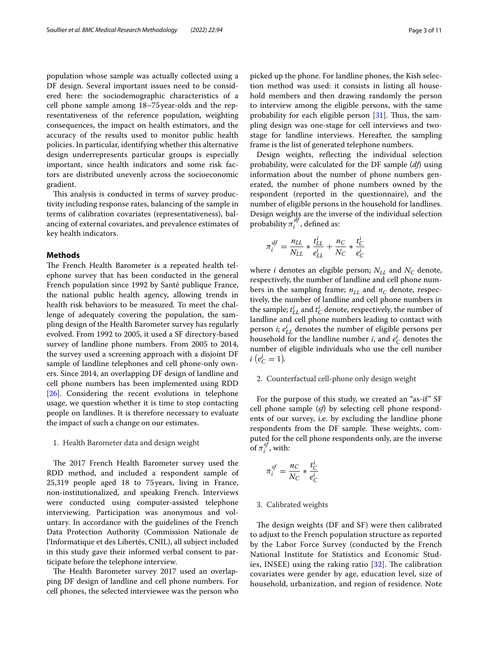population whose sample was actually collected using a DF design. Several important issues need to be considered here: the sociodemographic characteristics of a cell phone sample among 18–75year-olds and the representativeness of the reference population, weighting consequences, the impact on health estimators, and the accuracy of the results used to monitor public health policies. In particular, identifying whether this alternative design underrepresents particular groups is especially important, since health indicators and some risk factors are distributed unevenly across the socioeconomic gradient.

This analysis is conducted in terms of survey productivity including response rates, balancing of the sample in terms of calibration covariates (representativeness), balancing of external covariates, and prevalence estimates of key health indicators.

## **Methods**

The French Health Barometer is a repeated health telephone survey that has been conducted in the general French population since 1992 by Santé publique France, the national public health agency, allowing trends in health risk behaviors to be measured. To meet the challenge of adequately covering the population, the sampling design of the Health Barometer survey has regularly evolved. From 1992 to 2005, it used a SF directory-based survey of landline phone numbers. From 2005 to 2014, the survey used a screening approach with a disjoint DF sample of landline telephones and cell phone-only owners. Since 2014, an overlapping DF design of landline and cell phone numbers has been implemented using RDD [[26\]](#page-10-12). Considering the recent evolutions in telephone usage, we question whether it is time to stop contacting people on landlines. It is therefore necessary to evaluate the impact of such a change on our estimates.

## 1. Health Barometer data and design weight

The 2017 French Health Barometer survey used the RDD method, and included a respondent sample of 25,319 people aged 18 to 75years, living in France, non-institutionalized, and speaking French. Interviews were conducted using computer-assisted telephone interviewing. Participation was anonymous and voluntary. In accordance with the guidelines of the French Data Protection Authority (Commission Nationale de l'Informatique et des Libertés, CNIL), all subject included in this study gave their informed verbal consent to participate before the telephone interview.

The Health Barometer survey 2017 used an overlapping DF design of landline and cell phone numbers. For cell phones, the selected interviewee was the person who picked up the phone. For landline phones, the Kish selection method was used: it consists in listing all household members and then drawing randomly the person to interview among the eligible persons, with the same probability for each eligible person  $[31]$  $[31]$ . Thus, the sampling design was one-stage for cell interviews and twostage for landline interviews. Hereafter, the sampling frame is the list of generated telephone numbers.

Design weights, refecting the individual selection probability, were calculated for the DF sample (*df*) using information about the number of phone numbers generated, the number of phone numbers owned by the respondent (reported in the questionnaire), and the number of eligible persons in the household for landlines. Design weights are the inverse of the individual selection probability  $\pi_i^{df}$ , defined as:

$$
\pi_i^{df} = \frac{n_{LL}}{N_{LL}} * \frac{t_{LL}^i}{e_{LL}^i} + \frac{n_C}{N_C} * \frac{t_C^i}{e_C^i}
$$

where *i* denotes an eligible person;  $N_{LL}$  and  $N_C$  denote, respectively, the number of landline and cell phone numbers in the sampling frame;  $n_{LL}$  and  $n_C$  denote, respectively, the number of landline and cell phone numbers in the sample;  $t_{LL}^i$  and  $t_C^i$  denote, respectively, the number of landline and cell phone numbers leading to contact with person *i*;  $e_{LL}^{i}$  denotes the number of eligible persons per household for the landline number *i*, and  $e_C^i$  denotes the number of eligible individuals who use the cell number  $i\ (e_C^i = 1).$ 

## 2. Counterfactual cell-phone only design weight

For the purpose of this study, we created an "as-if" SF cell phone sample (*sf*) by selecting cell phone respondents of our survey, i.e. by excluding the landline phone respondents from the DF sample. These weights, computed for the cell phone respondents only, are the inverse of  $\pi_i^{sf}$ , with:

$$
\pi_i^{sf} = \frac{n_C}{N_C} * \frac{t_C^i}{e_C^i}
$$

## 3. Calibrated weights

The design weights (DF and SF) were then calibrated to adjust to the French population structure as reported by the Labor Force Survey (conducted by the French National Institute for Statistics and Economic Studies, INSEE) using the raking ratio  $[32]$  $[32]$ . The calibration covariates were gender by age, education level, size of household, urbanization, and region of residence. Note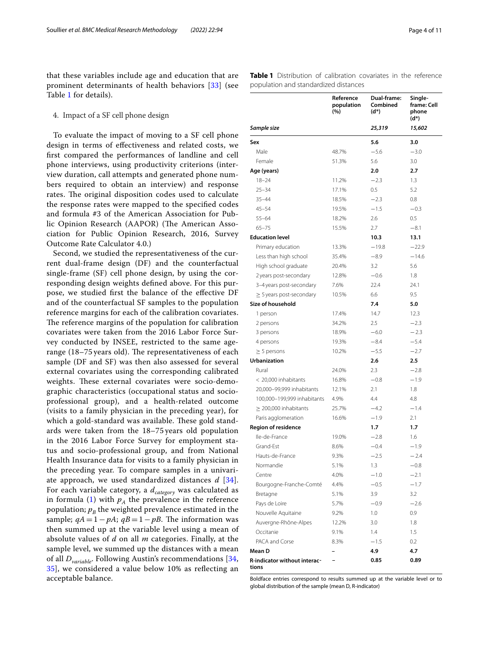that these variables include age and education that are prominent determinants of health behaviors [[33\]](#page-10-15) (see Table [1](#page-3-0) for details).

## 4. Impact of a SF cell phone design

To evaluate the impact of moving to a SF cell phone design in terms of efectiveness and related costs, we frst compared the performances of landline and cell phone interviews, using productivity criterions (interview duration, call attempts and generated phone numbers required to obtain an interview) and response rates. The original disposition codes used to calculate the response rates were mapped to the specifed codes and formula #3 of the American Association for Public Opinion Research (AAPOR) (The American Association for Public Opinion Research, 2016, Survey Outcome Rate Calculator 4.0.)

Second, we studied the representativeness of the current dual-frame design (DF) and the counterfactual single-frame (SF) cell phone design, by using the corresponding design weights defned above. For this purpose, we studied frst the balance of the efective DF and of the counterfactual SF samples to the population reference margins for each of the calibration covariates. The reference margins of the population for calibration covariates were taken from the 2016 Labor Force Survey conducted by INSEE, restricted to the same agerange  $(18-75)$  years old). The representativeness of each sample (DF and SF) was then also assessed for several external covariates using the corresponding calibrated weights. These external covariates were socio-demographic characteristics (occupational status and socioprofessional group), and a health-related outcome (visits to a family physician in the preceding year), for which a gold-standard was available. These gold standards were taken from the 18–75 years old population in the 2016 Labor Force Survey for employment status and socio-professional group, and from National Health Insurance data for visits to a family physician in the preceding year. To compare samples in a univariate approach, we used standardized distances *d* [[34\]](#page-10-16). For each variable category, a  $d_{category}$  was calculated as in formula ([1\)](#page-4-0) with  $p_A$  the prevalence in the reference population;  $p_B$  the weighted prevalence estimated in the sample;  $qA = 1 - pA$ ;  $qB = 1 - pB$ . The information was then summed up at the variable level using a mean of absolute values of *d* on all *m* categories. Finally, at the sample level, we summed up the distances with a mean of all *Dvariable*. Following Austin's recommendations [\[34](#page-10-16), [35\]](#page-10-17), we considered a value below 10% as refecting an acceptable balance.

<span id="page-3-0"></span>**Table 1** Distribution of calibration covariates in the reference population and standardized distances

|                                       | Reference<br>population<br>(%) | Dual-frame:<br>Combined<br>$(d^*)$ | Single-<br>frame: Cell<br>phone<br>$(d^*)$ |
|---------------------------------------|--------------------------------|------------------------------------|--------------------------------------------|
| Sample size                           |                                | 25,319                             | 15,602                                     |
| Sex                                   |                                | 5.6                                | 3.0                                        |
| Male                                  | 48.7%                          | $-5.6$                             | $-3.0$                                     |
| Female                                | 51.3%                          | 5.6                                | 3.0                                        |
| Age (years)                           |                                | 2.0                                | 2.7                                        |
| $18 - 24$                             | 11.2%                          | $-2.3$                             | 1.3                                        |
| $25 - 34$                             | 17.1%                          | 0.5                                | 5.2                                        |
| $35 - 44$                             | 18.5%                          | $-2.3$                             | 0.8                                        |
| $45 - 54$                             | 19.5%                          | $-1.5$                             | $-0.3$                                     |
| $55 - 64$                             | 18.2%                          | 2.6                                | 0.5                                        |
| $65 - 75$                             | 15.5%                          | 2.7                                | $-8.1$                                     |
| <b>Education level</b>                |                                | 10.3                               | 13.1                                       |
| Primary education                     | 13.3%                          | $-19.8$                            | $-22.9$                                    |
| Less than high school                 | 35.4%                          | $-8.9$                             | $-14.6$                                    |
| High school graduate                  | 20.4%                          | 3.2                                | 5.6                                        |
| 2 years post-secondary                | 12.8%                          | $-0.6$                             | 1.8                                        |
| 3-4 years post-secondary              | 7.6%                           | 22.4                               | 24.1                                       |
| $\geq$ 5 years post-secondary         | 10.5%                          | 6.6                                | 9.5                                        |
| Size of household                     |                                | 7.4                                | 5.0                                        |
| 1 person                              | 17.4%                          | 14.7                               | 12.3                                       |
| 2 persons                             | 34.2%                          | 2.5                                | $-2.3$                                     |
| 3 persons                             | 18.9%                          | $-6.0$                             | $-2.3$                                     |
| 4 persons                             | 19.3%                          | $-8.4$                             | $-5.4$                                     |
| $\geq$ 5 persons                      | 10.2%                          | $-5.5$                             | $-2.7$                                     |
| <b>Urbanization</b>                   |                                | 2.6                                | $2.5\,$                                    |
| Rural                                 | 24.0%                          | 2.3                                | $-2.8$                                     |
| < 20,000 inhabitants                  | 16.8%                          | $-0.8$                             | $-1.9$                                     |
| 20,000-99,999 inhabitants             | 12.1%                          | 2.1                                | 1.8                                        |
| 100,000-199,999 inhabitants           | 4.9%                           | 4.4                                | 4.8                                        |
| $\geq$ 200,000 inhabitants            | 25.7%                          | $-4.2$                             | $-1.4$                                     |
| Paris agglomeration                   | 16.6%                          | $-1.9$                             | 2.1                                        |
| <b>Region of residence</b>            |                                | 1.7                                | 1.7                                        |
| Ile-de-France                         | 19.0%                          | $-2.8$                             | 1.6                                        |
| Grand-Est                             | 8.6%                           | $-0.4$                             | $-1.9$                                     |
| Hauts-de-France                       | 9.3%                           | $-2.5$                             | $-2.4$                                     |
| Normandie                             | 5.1%                           | 1.3                                | $-0.8$                                     |
| Centre                                | 4.0%                           | $-1.0$                             | $-2.1$                                     |
| Bourgogne-Franche-Comté               | 4.4%                           | $-0.5$                             | $-1.7$                                     |
| Bretagne                              | 5.1%                           | 3.9                                | 3.2                                        |
| Pays de Loire                         | 5.7%                           | $-0.9$                             | $-2.6$                                     |
| Nouvelle Aquitaine                    | 9.2%                           | 1.0                                | 0.9                                        |
| Auvergne-Rhône-Alpes                  | 12.2%                          | 3.0                                | 1.8                                        |
| Occitanie                             | 9.1%                           | 1.4                                | 1.5                                        |
| PACA and Corse                        | 8.3%                           | $-1.5$                             | 0.2                                        |
| Mean D                                |                                | 4.9                                | 4.7                                        |
| R-indicator without interac-<br>tions |                                | 0.85                               | 0.89                                       |

Boldface entries correspond to results summed up at the variable level or to global distribution of the sample (mean D, R-indicator)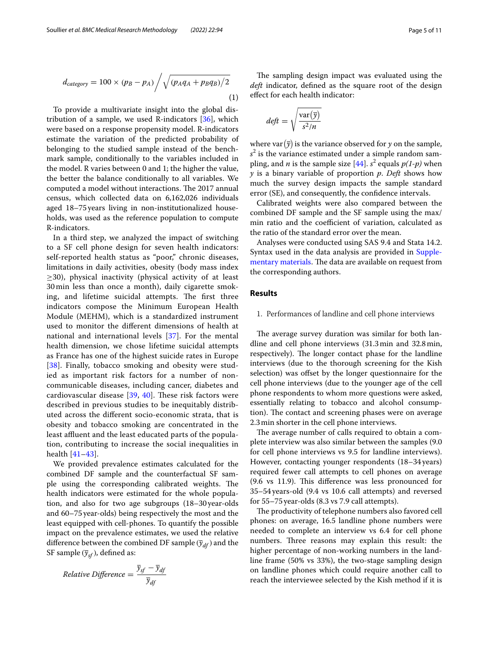$$
d_{category} = 100 \times (p_B - p_A) / \sqrt{(p_A q_A + p_B q_B)/2}
$$
\n(1)

To provide a multivariate insight into the global distribution of a sample, we used R-indicators [[36\]](#page-10-18), which were based on a response propensity model. R-indicators estimate the variation of the predicted probability of belonging to the studied sample instead of the benchmark sample, conditionally to the variables included in the model. R varies between 0 and 1; the higher the value, the better the balance conditionally to all variables. We computed a model without interactions. The 2017 annual census, which collected data on 6,162,026 individuals aged 18–75years living in non-institutionalized households, was used as the reference population to compute R-indicators.

In a third step, we analyzed the impact of switching to a SF cell phone design for seven health indicators: self-reported health status as "poor," chronic diseases, limitations in daily activities, obesity (body mass index  $\geq$ 30), physical inactivity (physical activity of at least 30 min less than once a month), daily cigarette smoking, and lifetime suicidal attempts. The first three indicators compose the Minimum European Health Module (MEHM), which is a standardized instrument used to monitor the diferent dimensions of health at national and international levels [[37](#page-10-19)]. For the mental health dimension, we chose lifetime suicidal attempts as France has one of the highest suicide rates in Europe [[38](#page-10-20)]. Finally, tobacco smoking and obesity were studied as important risk factors for a number of noncommunicable diseases, including cancer, diabetes and cardiovascular disease  $[39, 40]$  $[39, 40]$  $[39, 40]$  $[39, 40]$  $[39, 40]$ . These risk factors were described in previous studies to be inequitably distributed across the diferent socio-economic strata, that is obesity and tobacco smoking are concentrated in the least affluent and the least educated parts of the population, contributing to increase the social inequalities in health [[41–](#page-10-23)[43\]](#page-10-24).

We provided prevalence estimates calculated for the combined DF sample and the counterfactual SF sample using the corresponding calibrated weights. The health indicators were estimated for the whole population, and also for two age subgroups (18–30year-olds and 60–75year-olds) being respectively the most and the least equipped with cell-phones. To quantify the possible impact on the prevalence estimates, we used the relative difference between the combined DF sample  $(\bar{y}_{df})$  and the SF sample  $(\bar{y}_{sf})$ , defined as:

$$
Relative\ Difference = \frac{\overline{y}_{sf} - \overline{y}_{df}}{\overline{y}_{df}}
$$

<span id="page-4-0"></span>The sampling design impact was evaluated using the *deft* indicator, defned as the square root of the design efect for each health indicator:

$$
d e f t = \sqrt{\frac{\text{var}(\overline{y})}{s^2/n}}
$$

where var $(\overline{y})$  is the variance observed for *y* on the sample, *s* 2 is the variance estimated under a simple random sampling, and *n* is the sample size  $[44]$  $[44]$ . *s*<sup>2</sup> equals  $p(1-p)$  when *y* is a binary variable of proportion *p*. *Deft* shows how much the survey design impacts the sample standard error (SE), and consequently, the confdence intervals.

Calibrated weights were also compared between the combined DF sample and the SF sample using the max/ min ratio and the coefficient of variation, calculated as the ratio of the standard error over the mean.

Analyses were conducted using SAS 9.4 and Stata 14.2. Syntax used in the data analysis are provided in [Supple](#page-9-3)[mentary materials](#page-9-3). The data are available on request from the corresponding authors.

## **Results**

## 1. Performances of landline and cell phone interviews

The average survey duration was similar for both landline and cell phone interviews (31.3min and 32.8min, respectively). The longer contact phase for the landline interviews (due to the thorough screening for the Kish selection) was offset by the longer questionnaire for the cell phone interviews (due to the younger age of the cell phone respondents to whom more questions were asked, essentially relating to tobacco and alcohol consumption). The contact and screening phases were on average 2.3min shorter in the cell phone interviews.

The average number of calls required to obtain a complete interview was also similar between the samples (9.0 for cell phone interviews vs 9.5 for landline interviews). However, contacting younger respondents (18–34years) required fewer call attempts to cell phones on average  $(9.6 \text{ vs } 11.9)$ . This difference was less pronounced for 35–54years-old (9.4 vs 10.6 call attempts) and reversed for 55–75year-olds (8.3 vs 7.9 call attempts).

The productivity of telephone numbers also favored cell phones: on average, 16.5 landline phone numbers were needed to complete an interview vs 6.4 for cell phone numbers. Three reasons may explain this result: the higher percentage of non-working numbers in the landline frame (50% vs 33%), the two-stage sampling design on landline phones which could require another call to reach the interviewee selected by the Kish method if it is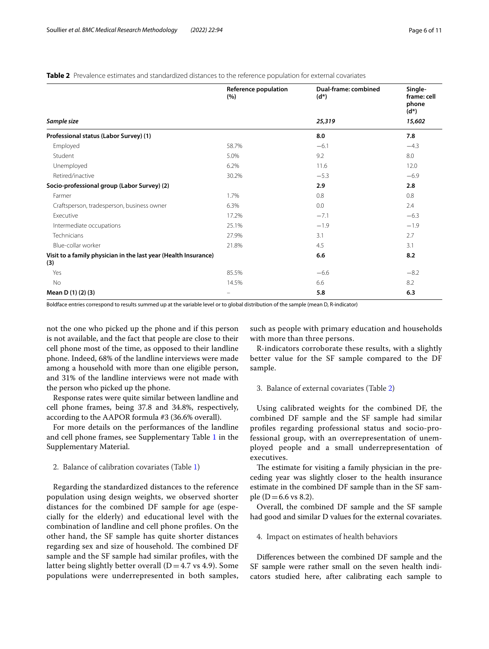<span id="page-5-0"></span>**Table 2** Prevalence estimates and standardized distances to the reference population for external covariates

|                                                                        | Reference population<br>(% ) | Dual-frame: combined<br>$(d^*)$ | Single-<br>frame: cell<br>phone<br>$(d^*)$ |  |
|------------------------------------------------------------------------|------------------------------|---------------------------------|--------------------------------------------|--|
| Sample size                                                            |                              | 25,319                          | 15,602                                     |  |
| Professional status (Labor Survey) (1)                                 |                              | 8.0                             | 7.8                                        |  |
| Employed                                                               | 58.7%                        | $-6.1$                          | $-4.3$                                     |  |
| Student                                                                | 5.0%                         | 9.2                             | 8.0                                        |  |
| Unemployed                                                             | 6.2%                         | 11.6                            | 12.0                                       |  |
| Retired/inactive                                                       | 30.2%                        | $-5.3$                          | $-6.9$                                     |  |
| Socio-professional group (Labor Survey) (2)                            |                              | 2.9                             | 2.8                                        |  |
| Farmer                                                                 | 1.7%                         | 0.8                             | 0.8                                        |  |
| Craftsperson, tradesperson, business owner                             | 6.3%                         | 0.0                             | 2.4                                        |  |
| Executive                                                              | 17.2%                        | $-7.1$                          | $-6.3$                                     |  |
| Intermediate occupations                                               | 25.1%                        | $-1.9$                          | $-1.9$                                     |  |
| Technicians                                                            | 27.9%                        | 3.1                             | 2.7                                        |  |
| Blue-collar worker                                                     | 21.8%                        | 4.5                             | 3.1                                        |  |
| Visit to a family physician in the last year (Health Insurance)<br>(3) |                              | 6.6                             | 8.2                                        |  |
| Yes                                                                    | 85.5%                        | $-6.6$                          | $-8.2$                                     |  |
| No                                                                     | 14.5%                        | 6.6                             | 8.2                                        |  |
| Mean D (1) (2) (3)                                                     |                              | 5.8                             | 6.3                                        |  |

Boldface entries correspond to results summed up at the variable level or to global distribution of the sample (mean D, R-indicator)

not the one who picked up the phone and if this person is not available, and the fact that people are close to their cell phone most of the time, as opposed to their landline phone. Indeed, 68% of the landline interviews were made among a household with more than one eligible person, and 31% of the landline interviews were not made with the person who picked up the phone.

Response rates were quite similar between landline and cell phone frames, being 37.8 and 34.8%, respectively, according to the AAPOR formula #3 (36.6% overall).

For more details on the performances of the landline and cell phone frames, see Supplementary Table [1](#page-9-4) in the Supplementary Material.

#### 2. Balance of calibration covariates (Table [1\)](#page-3-0)

Regarding the standardized distances to the reference population using design weights, we observed shorter distances for the combined DF sample for age (especially for the elderly) and educational level with the combination of landline and cell phone profles. On the other hand, the SF sample has quite shorter distances regarding sex and size of household. The combined DF sample and the SF sample had similar profles, with the latter being slightly better overall  $(D=4.7 \text{ vs } 4.9)$ . Some populations were underrepresented in both samples, such as people with primary education and households with more than three persons.

R-indicators corroborate these results, with a slightly better value for the SF sample compared to the DF sample.

3. Balance of external covariates (Table [2\)](#page-5-0)

Using calibrated weights for the combined DF, the combined DF sample and the SF sample had similar profles regarding professional status and socio-professional group, with an overrepresentation of unemployed people and a small underrepresentation of executives.

The estimate for visiting a family physician in the preceding year was slightly closer to the health insurance estimate in the combined DF sample than in the SF sample ( $D = 6.6$  vs 8.2).

Overall, the combined DF sample and the SF sample had good and similar D values for the external covariates.

4. Impact on estimates of health behaviors

Diferences between the combined DF sample and the SF sample were rather small on the seven health indicators studied here, after calibrating each sample to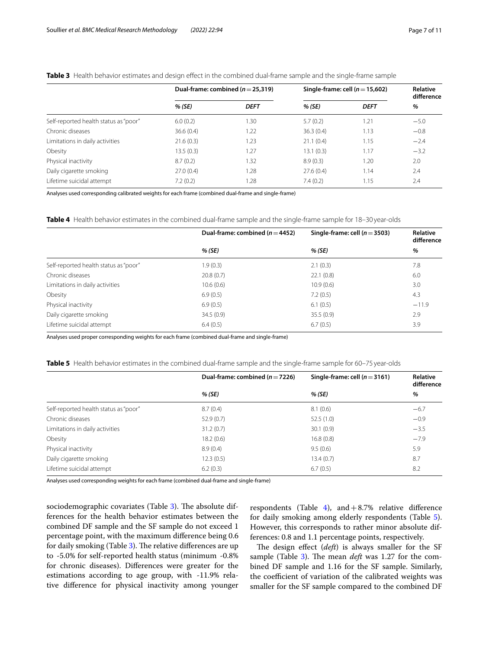## <span id="page-6-0"></span>**Table 3** Health behavior estimates and design efect in the combined dual-frame sample and the single-frame sample

|                                       | Dual-frame: combined ( $n = 25,319$ ) |             | Single-frame: cell $(n=15,602)$ |             | Relative<br>difference |
|---------------------------------------|---------------------------------------|-------------|---------------------------------|-------------|------------------------|
|                                       | % (SE)                                | <b>DEFT</b> | % (SE)                          | <b>DEFT</b> | %                      |
| Self-reported health status as "poor" | 6.0(0.2)                              | 1.30        | 5.7(0.2)                        | 1.21        | $-5.0$                 |
| Chronic diseases                      | 36.6(0.4)                             | 1.22        | 36.3(0.4)                       | 1.13        | $-0.8$                 |
| Limitations in daily activities       | 21.6(0.3)                             | 1.23        | 21.1(0.4)                       | 1.15        | $-2.4$                 |
| Obesity                               | 13.5(0.3)                             | 1.27        | 13.1(0.3)                       | 1.17        | $-3.2$                 |
| Physical inactivity                   | 8.7(0.2)                              | 1.32        | 8.9(0.3)                        | 1.20        | 2.0                    |
| Daily cigarette smoking               | 27.0(0.4)                             | 1.28        | 27.6(0.4)                       | 1.14        | 2.4                    |
| Lifetime suicidal attempt             | 7.2(0.2)                              | 1.28        | 7.4(0.2)                        | 1.15        | 2.4                    |

Analyses used corresponding calibrated weights for each frame (combined dual-frame and single-frame)

<span id="page-6-1"></span>**Table 4** Health behavior estimates in the combined dual-frame sample and the single-frame sample for 18–30 year-olds

|                                       | Dual-frame: combined ( $n = 4452$ ) | Single-frame: cell $(n=3503)$ | Relative<br>difference |
|---------------------------------------|-------------------------------------|-------------------------------|------------------------|
|                                       | % (SE)                              | % (SE)                        | %                      |
| Self-reported health status as "poor" | 1.9(0.3)                            | 2.1(0.3)                      | 7.8                    |
| Chronic diseases                      | 20.8(0.7)                           | 22.1(0.8)                     | 6.0                    |
| Limitations in daily activities       | 10.6(0.6)                           | 10.9(0.6)                     | 3.0                    |
| Obesity                               | 6.9(0.5)                            | 7.2(0.5)                      | 4.3                    |
| Physical inactivity                   | 6.9(0.5)                            | 6.1(0.5)                      | $-11.9$                |
| Daily cigarette smoking               | 34.5(0.9)                           | 35.5(0.9)                     | 2.9                    |
| Lifetime suicidal attempt             | 6.4(0.5)                            | 6.7(0.5)                      | 3.9                    |

Analyses used proper corresponding weights for each frame (combined dual-frame and single-frame)

<span id="page-6-2"></span>**Table 5** Health behavior estimates in the combined dual-frame sample and the single-frame sample for 60–75 year-olds

|                                       | Dual-frame: combined $(n=7226)$ | Single-frame: cell $(n=3161)$ | Relative<br>difference<br>% |
|---------------------------------------|---------------------------------|-------------------------------|-----------------------------|
|                                       | % (SE)                          | % (SE)                        |                             |
| Self-reported health status as "poor" | 8.7(0.4)                        | 8.1(0.6)                      | $-6.7$                      |
| Chronic diseases                      | 52.9(0.7)                       | 52.5(1.0)                     | $-0.9$                      |
| Limitations in daily activities       | 31.2(0.7)                       | 30.1(0.9)                     | $-3.5$                      |
| Obesity                               | 18.2(0.6)                       | 16.8(0.8)                     | $-7.9$                      |
| Physical inactivity                   | 8.9(0.4)                        | 9.5(0.6)                      | 5.9                         |
| Daily cigarette smoking               | 12.3(0.5)                       | 13.4(0.7)                     | 8.7                         |
| Lifetime suicidal attempt             | 6.2(0.3)                        | 6.7(0.5)                      | 8.2                         |

Analyses used corresponding weights for each frame (combined dual-frame and single-frame)

sociodemographic covariates (Table [3](#page-6-0)). The absolute differences for the health behavior estimates between the combined DF sample and the SF sample do not exceed 1 percentage point, with the maximum diference being 0.6 for daily smoking (Table [3\)](#page-6-0). The relative differences are up to -5.0% for self-reported health status (minimum -0.8% for chronic diseases). Diferences were greater for the estimations according to age group, with -11.9% relative diference for physical inactivity among younger

respondents (Table [4\)](#page-6-1), and  $+8.7%$  relative difference for daily smoking among elderly respondents (Table [5](#page-6-2)). However, this corresponds to rather minor absolute differences: 0.8 and 1.1 percentage points, respectively.

The design effect (*deft*) is always smaller for the SF sample (Table [3](#page-6-0)). The mean *deft* was 1.27 for the combined DF sample and 1.16 for the SF sample. Similarly, the coefficient of variation of the calibrated weights was smaller for the SF sample compared to the combined DF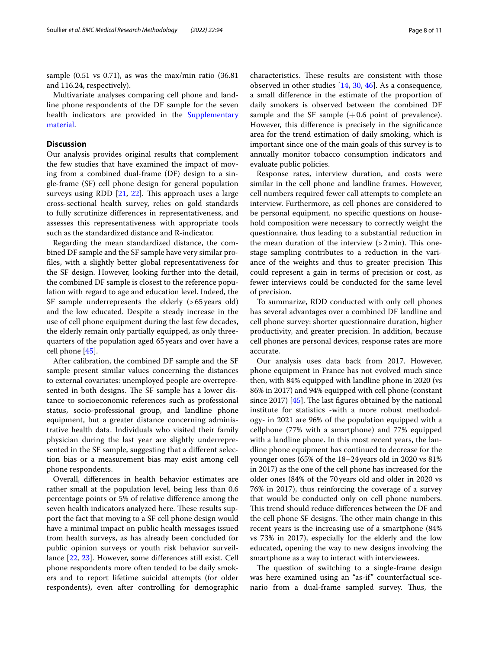sample (0.51 vs 0.71), as was the max/min ratio (36.81 and 116.24, respectively).

Multivariate analyses comparing cell phone and landline phone respondents of the DF sample for the seven health indicators are provided in the [Supplementary](#page-9-4)  [material](#page-9-4).

## **Discussion**

Our analysis provides original results that complement the few studies that have examined the impact of moving from a combined dual-frame (DF) design to a single-frame (SF) cell phone design for general population surveys using RDD  $[21, 22]$  $[21, 22]$  $[21, 22]$ . This approach uses a large cross-sectional health survey, relies on gold standards to fully scrutinize diferences in representativeness, and assesses this representativeness with appropriate tools such as the standardized distance and R-indicator.

Regarding the mean standardized distance, the combined DF sample and the SF sample have very similar profles, with a slightly better global representativeness for the SF design. However, looking further into the detail, the combined DF sample is closest to the reference population with regard to age and education level. Indeed, the SF sample underrepresents the elderly (>65years old) and the low educated. Despite a steady increase in the use of cell phone equipment during the last few decades, the elderly remain only partially equipped, as only threequarters of the population aged 65 years and over have a cell phone [\[45\]](#page-10-26).

After calibration, the combined DF sample and the SF sample present similar values concerning the distances to external covariates: unemployed people are overrepresented in both designs. The SF sample has a lower distance to socioeconomic references such as professional status, socio-professional group, and landline phone equipment, but a greater distance concerning administrative health data. Individuals who visited their family physician during the last year are slightly underrepresented in the SF sample, suggesting that a diferent selection bias or a measurement bias may exist among cell phone respondents.

Overall, diferences in health behavior estimates are rather small at the population level, being less than 0.6 percentage points or 5% of relative diference among the seven health indicators analyzed here. These results support the fact that moving to a SF cell phone design would have a minimal impact on public health messages issued from health surveys, as has already been concluded for public opinion surveys or youth risk behavior surveillance [\[22](#page-10-8), [23](#page-10-9)]. However, some diferences still exist. Cell phone respondents more often tended to be daily smokers and to report lifetime suicidal attempts (for older respondents), even after controlling for demographic characteristics. These results are consistent with those observed in other studies [[14,](#page-10-0) [30,](#page-10-11) [46](#page-10-27)]. As a consequence, a small diference in the estimate of the proportion of daily smokers is observed between the combined DF sample and the SF sample  $(+0.6$  point of prevalence). However, this diference is precisely in the signifcance area for the trend estimation of daily smoking, which is important since one of the main goals of this survey is to annually monitor tobacco consumption indicators and evaluate public policies.

Response rates, interview duration, and costs were similar in the cell phone and landline frames. However, cell numbers required fewer call attempts to complete an interview. Furthermore, as cell phones are considered to be personal equipment, no specifc questions on household composition were necessary to correctly weight the questionnaire, thus leading to a substantial reduction in the mean duration of the interview  $(>2 \text{min})$ . This onestage sampling contributes to a reduction in the variance of the weights and thus to greater precision This could represent a gain in terms of precision or cost, as fewer interviews could be conducted for the same level of precision.

To summarize, RDD conducted with only cell phones has several advantages over a combined DF landline and cell phone survey: shorter questionnaire duration, higher productivity, and greater precision. In addition, because cell phones are personal devices, response rates are more accurate.

Our analysis uses data back from 2017. However, phone equipment in France has not evolved much since then, with 84% equipped with landline phone in 2020 (vs 86% in 2017) and 94% equipped with cell phone (constant since 2017)  $[45]$  $[45]$  $[45]$ . The last figures obtained by the national institute for statistics -with a more robust methodology- in 2021 are 96% of the population equipped with a cellphone (77% with a smartphone) and 77% equipped with a landline phone. In this most recent years, the landline phone equipment has continued to decrease for the younger ones (65% of the 18–24years old in 2020 vs 81% in 2017) as the one of the cell phone has increased for the older ones (84% of the 70years old and older in 2020 vs 76% in 2017), thus reinforcing the coverage of a survey that would be conducted only on cell phone numbers. This trend should reduce differences between the DF and the cell phone SF designs. The other main change in this recent years is the increasing use of a smartphone (84% vs 73% in 2017), especially for the elderly and the low educated, opening the way to new designs involving the smartphone as a way to interact with interviewees.

The question of switching to a single-frame design was here examined using an "as-if" counterfactual scenario from a dual-frame sampled survey. Thus, the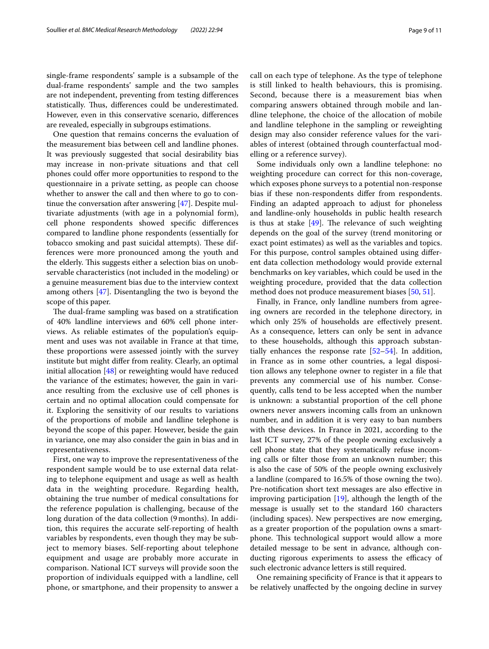single-frame respondents' sample is a subsample of the dual-frame respondents' sample and the two samples are not independent, preventing from testing diferences statistically. Thus, differences could be underestimated. However, even in this conservative scenario, diferences are revealed, especially in subgroups estimations.

One question that remains concerns the evaluation of the measurement bias between cell and landline phones. It was previously suggested that social desirability bias may increase in non-private situations and that cell phones could offer more opportunities to respond to the questionnaire in a private setting, as people can choose whether to answer the call and then where to go to continue the conversation after answering [\[47](#page-10-28)]. Despite multivariate adjustments (with age in a polynomial form), cell phone respondents showed specifc diferences compared to landline phone respondents (essentially for tobacco smoking and past suicidal attempts). These differences were more pronounced among the youth and the elderly. This suggests either a selection bias on unobservable characteristics (not included in the modeling) or a genuine measurement bias due to the interview context among others [\[47](#page-10-28)]. Disentangling the two is beyond the scope of this paper.

The dual-frame sampling was based on a stratification of 40% landline interviews and 60% cell phone interviews. As reliable estimates of the population's equipment and uses was not available in France at that time, these proportions were assessed jointly with the survey institute but might difer from reality. Clearly, an optimal initial allocation [\[48](#page-10-29)] or reweighting would have reduced the variance of the estimates; however, the gain in variance resulting from the exclusive use of cell phones is certain and no optimal allocation could compensate for it. Exploring the sensitivity of our results to variations of the proportions of mobile and landline telephone is beyond the scope of this paper. However, beside the gain in variance, one may also consider the gain in bias and in representativeness.

First, one way to improve the representativeness of the respondent sample would be to use external data relating to telephone equipment and usage as well as health data in the weighting procedure. Regarding health, obtaining the true number of medical consultations for the reference population is challenging, because of the long duration of the data collection (9 months). In addition, this requires the accurate self-reporting of health variables by respondents, even though they may be subject to memory biases. Self-reporting about telephone equipment and usage are probably more accurate in comparison. National ICT surveys will provide soon the proportion of individuals equipped with a landline, cell phone, or smartphone, and their propensity to answer a call on each type of telephone. As the type of telephone is still linked to health behaviours, this is promising. Second, because there is a measurement bias when comparing answers obtained through mobile and landline telephone, the choice of the allocation of mobile and landline telephone in the sampling or reweighting design may also consider reference values for the variables of interest (obtained through counterfactual mod-

Some individuals only own a landline telephone: no weighting procedure can correct for this non-coverage, which exposes phone surveys to a potential non-response bias if these non-respondents difer from respondents. Finding an adapted approach to adjust for phoneless and landline-only households in public health research is thus at stake  $[49]$ . The relevance of such weighting depends on the goal of the survey (trend monitoring or exact point estimates) as well as the variables and topics. For this purpose, control samples obtained using diferent data collection methodology would provide external benchmarks on key variables, which could be used in the weighting procedure, provided that the data collection method does not produce measurement biases [[50](#page-10-31), [51\]](#page-10-32).

elling or a reference survey).

Finally, in France, only landline numbers from agreeing owners are recorded in the telephone directory, in which only 25% of households are effectively present. As a consequence, letters can only be sent in advance to these households, although this approach substantially enhances the response rate [\[52](#page-10-33)[–54](#page-10-34)]. In addition, in France as in some other countries, a legal disposition allows any telephone owner to register in a fle that prevents any commercial use of his number. Consequently, calls tend to be less accepted when the number is unknown: a substantial proportion of the cell phone owners never answers incoming calls from an unknown number, and in addition it is very easy to ban numbers with these devices. In France in 2021, according to the last ICT survey, 27% of the people owning exclusively a cell phone state that they systematically refuse incoming calls or flter those from an unknown number; this is also the case of 50% of the people owning exclusively a landline (compared to 16.5% of those owning the two). Pre-notifcation short text messages are also efective in improving participation [[19\]](#page-10-5), although the length of the message is usually set to the standard 160 characters (including spaces). New perspectives are now emerging, as a greater proportion of the population owns a smartphone. This technological support would allow a more detailed message to be sent in advance, although conducting rigorous experiments to assess the efficacy of such electronic advance letters is still required.

One remaining specifcity of France is that it appears to be relatively unafected by the ongoing decline in survey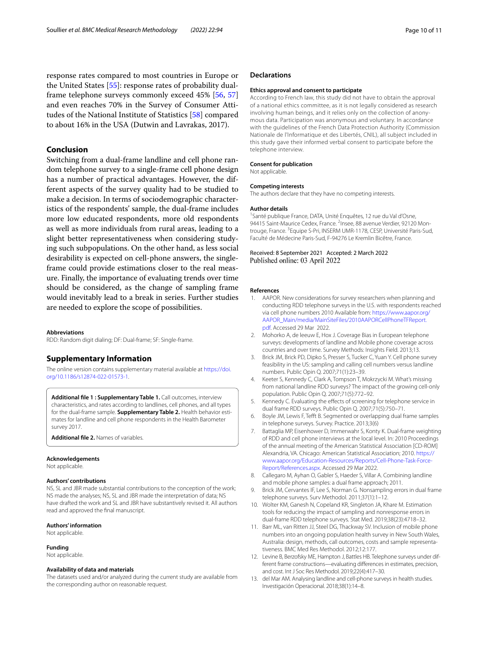response rates compared to most countries in Europe or the United States [[55\]](#page-10-35): response rates of probability dualframe telephone surveys commonly exceed 45% [\[56](#page-10-36), [57](#page-10-37)] and even reaches 70% in the Survey of Consumer Attitudes of the National Institute of Statistics [\[58](#page-10-38)] compared to about 16% in the USA (Dutwin and Lavrakas, 2017).

## **Conclusion**

Switching from a dual-frame landline and cell phone random telephone survey to a single-frame cell phone design has a number of practical advantages. However, the different aspects of the survey quality had to be studied to make a decision. In terms of sociodemographic characteristics of the respondents' sample, the dual-frame includes more low educated respondents, more old respondents as well as more individuals from rural areas, leading to a slight better representativeness when considering studying such subpopulations. On the other hand, as less social desirability is expected on cell-phone answers, the singleframe could provide estimations closer to the real measure. Finally, the importance of evaluating trends over time should be considered, as the change of sampling frame would inevitably lead to a break in series. Further studies are needed to explore the scope of possibilities.

#### **Abbreviations**

RDD: Random digit dialing; DF: Dual-frame; SF: Single-frame.

## **Supplementary Information**

The online version contains supplementary material available at [https://doi.](https://doi.org/10.1186/s12874-022-01573-1) [org/10.1186/s12874-022-01573-1](https://doi.org/10.1186/s12874-022-01573-1).

<span id="page-9-4"></span>**Additional fle 1 : Supplementary Table 1.** Call outcomes, interview characteristics, and rates according to landlines, cell phones, and all types for the dual-frame sample. **Supplementary Table 2.** Health behavior estimates for landline and cell phone respondents in the Health Barometer survey 2017.

<span id="page-9-3"></span>**Additional fle 2.** Names of variables.

#### **Acknowledgements**

Not applicable.

#### **Authors' contributions**

NS, SL and JBR made substantial contributions to the conception of the work; NS made the analyses; NS, SL and JBR made the interpretation of data; NS have drafted the work and SL and JBR have substantively revised it. All authors read and approved the fnal manuscript.

#### **Authors' information**

Not applicable.

#### **Funding**

Not applicable.

#### **Availability of data and materials**

The datasets used and/or analyzed during the current study are available from the corresponding author on reasonable request.

#### **Declarations**

#### **Ethics approval and consent to participate**

According to French law, this study did not have to obtain the approval of a national ethics committee, as it is not legally considered as research involving human beings, and it relies only on the collection of anonymous data. Participation was anonymous and voluntary. In accordance with the guidelines of the French Data Protection Authority (Commission Nationale de l'Informatique et des Libertés, CNIL), all subject included in this study gave their informed verbal consent to participate before the telephone interview.

#### **Consent for publication** Not applicable.

#### **Competing interests**

The authors declare that they have no competing interests.

#### **Author details**

1 Santé publique France, DATA, Unité Enquêtes, 12 rue du Val d'Osne, 94415 Saint-Maurice Cedex, France. <sup>2</sup>Insee, 88 avenue Verdier, 92120 Montrouge, France.<sup>3</sup> Equipe S-Pri, INSERM UMR-1178, CESP, Université Paris-Sud, Faculté de Médecine Paris-Sud, F‑94276 Le Kremlin Bicêtre, France.

#### Received: 8 September 2021 Accepted: 2 March 2022 Published online: 03 April 2022

#### **References**

- <span id="page-9-0"></span>1. AAPOR. New considerations for survey researchers when planning and conducting RDD telephone surveys in the U.S. with respondents reached via cell phone numbers 2010 Available from: [https://www.aapor.org/](https://www.aapor.org/AAPOR_Main/media/MainSiteFiles/2010AAPORCellPhoneTFReport.pdf) [AAPOR\\_Main/media/MainSiteFiles/2010AAPORCellPhoneTFReport.](https://www.aapor.org/AAPOR_Main/media/MainSiteFiles/2010AAPORCellPhoneTFReport.pdf) [pdf.](https://www.aapor.org/AAPOR_Main/media/MainSiteFiles/2010AAPORCellPhoneTFReport.pdf) Accessed 29 Mar 2022.
- 2. Mohorko A, de leeuw E, Hox J. Coverage Bias in European telephone surveys: developments of landline and Mobile phone coverage across countries and over time. Survey Methods: Insights Field. 2013;13.
- 3. Brick JM, Brick PD, Dipko S, Presser S, Tucker C, Yuan Y. Cell phone survey feasibility in the US: sampling and calling cell numbers versus landline numbers. Public Opin Q. 2007;71(1):23–39.
- <span id="page-9-1"></span>4. Keeter S, Kennedy C, Clark A, Tompson T, Mokrzycki M. What's missing from national landline RDD surveys? The impact of the growing cell-only population. Public Opin Q. 2007;71(5):772–92.
- <span id="page-9-2"></span>5. Kennedy C. Evaluating the effects of screening for telephone service in dual frame RDD surveys. Public Opin Q. 2007;71(5):750–71.
- 6. Boyle JM, Lewis F, Teft B. Segmented or overlapping dual frame samples in telephone surveys. Survey. Practice. 2013;3(6)
- 7. Battaglia MP, Eisenhower D, Immerwahr S, Konty K. Dual-frame weighting of RDD and cell phone interviews at the local level. In: 2010 Proceedings of the annual meeting of the American Statistical Association [CD-ROM] Alexandria, VA. Chicago: American Statistical Association; 2010. [https://](https://www.aapor.org/Education-Resources/Reports/Cell-Phone-Task-Force-Report/References.aspx) [www.aapor.org/Education-Resources/Reports/Cell-Phone-Task-Force-](https://www.aapor.org/Education-Resources/Reports/Cell-Phone-Task-Force-Report/References.aspx) [Report/References.aspx.](https://www.aapor.org/Education-Resources/Reports/Cell-Phone-Task-Force-Report/References.aspx) Accessed 29 Mar 2022.
- 8. Callegaro M, Ayhan O, Gabler S, Haeder S, Villar A. Combining landline and mobile phone samples: a dual frame approach; 2011.
- 9. Brick JM, Cervantes IF, Lee S, Norman G. Nonsampling errors in dual frame telephone surveys. Surv Methodol. 2011;37(1):1–12.
- 10. Wolter KM, Ganesh N, Copeland KR, Singleton JA, Khare M. Estimation tools for reducing the impact of sampling and nonresponse errors in dual-frame RDD telephone surveys. Stat Med. 2019;38(23):4718–32.
- 11. Barr ML, van Ritten JJ, Steel DG, Thackway SV. Inclusion of mobile phone numbers into an ongoing population health survey in New South Wales, Australia: design, methods, call outcomes, costs and sample representativeness. BMC Med Res Methodol. 2012;12:177.
- 12. Levine B, Berzofsky ME, Hampton J, Battles HB. Telephone surveys under different frame constructions—evaluating diferences in estimates, precision, and cost. Int J Soc Res Methodol. 2019;22(4):417–30.
- 13. del Mar AM. Analysing landline and cell-phone surveys in health studies. Investigación Operacional. 2018;38(1):14–8.